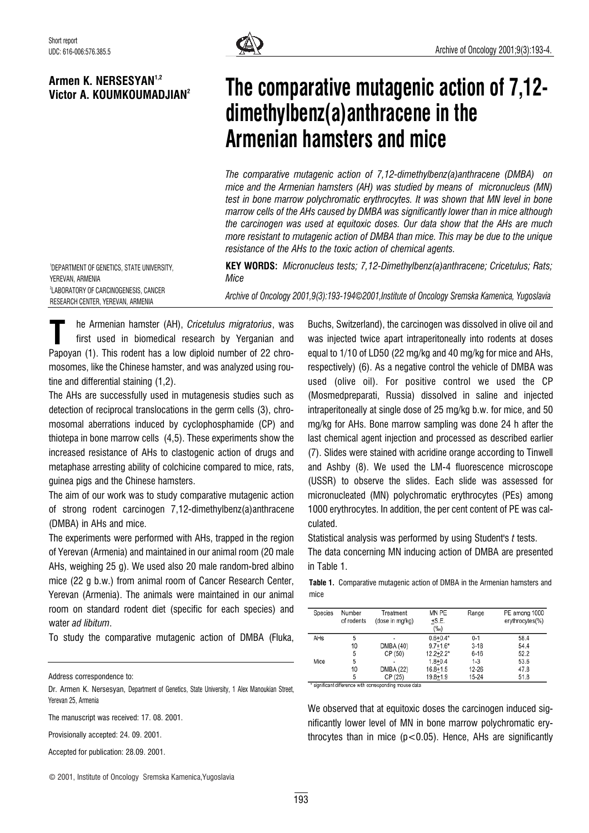

## Armen K. NERSESYAN1,2 Victor A. KOUMKOUMADJIAN2

## The comparative mutagenic action of 7,12 dimethylbenz(a)anthracene in the Armenian hamsters and mice

The comparative mutagenic action of 7,12-dimethylbenz(a)anthracene (DMBA) on mice and the Armenian hamsters (AH) was studied by means of micronucleus (MN) test in bone marrow polychromatic erythrocytes. It was shown that MN level in bone marrow cells of the AHs caused by DMBA was significantly lower than in mice although the carcinogen was used at equitoxic doses. Our data show that the AHs are much more resistant to mutagenic action of DMBA than mice. This may be due to the unique resistance of the AHs to the toxic action of chemical agents.

1 DEPARTMENT OF GENETICS, STATE UNIVERSITY, YEREVAN, ARMENIA 2 LABORATORY OF CARCINOGENESIS, CANCER RESEARCH CENTER, YEREVAN, ARMENIA

KEY WORDS: Micronucleus tests; 7,12-Dimethylbenz(a)anthracene; Cricetulus; Rats; Mice Archive of Oncology 2001,9(3):193-194*©*2001,Institute of Oncology Sremska Kamenica, Yugoslavia

he Armenian hamster (AH), Cricetulus migratorius, was first used in biomedical research by Yerganian and The Armenian hamster (AH), Cricetulus migratorius, was<br>first used in biomedical research by Yerganian and<br>Papoyan (1). This rodent has a low diploid number of 22 chromosomes, like the Chinese hamster, and was analyzed using routine and differential staining (1,2).

The AHs are successfully used in mutagenesis studies such as detection of reciprocal translocations in the germ cells (3), chromosomal aberrations induced by cyclophosphamide (CP) and thiotepa in bone marrow cells (4,5). These experiments show the increased resistance of AHs to clastogenic action of drugs and metaphase arresting ability of colchicine compared to mice, rats, guinea pigs and the Chinese hamsters.

The aim of our work was to study comparative mutagenic action of strong rodent carcinogen 7,12-dimethylbenz(a)anthracene (DMBA) in AHs and mice.

The experiments were performed with AHs, trapped in the region of Yerevan (Armenia) and maintained in our animal room (20 male AHs, weighing 25 g). We used also 20 male random-bred albino mice (22 g b.w.) from animal room of Cancer Research Center, Yerevan (Armenia). The animals were maintained in our animal room on standard rodent diet (specific for each species) and water ad libitum.

To study the comparative mutagenic action of DMBA (Fluka,

Address correspondence to:

Dr. Armen K. Nersesyan, Department of Genetics, State University, 1 Alex Manoukian Street, Yerevan 25, Armenia

The manuscript was received: 17, 08, 2001.

Provisionally accepted: 24. 09. 2001.

Accepted for publication: 28.09. 2001.

© 2001, Institute of Oncology Sremska Kamenica,Yugoslavia

Buchs, Switzerland), the carcinogen was dissolved in olive oil and was injected twice apart intraperitoneally into rodents at doses equal to 1/10 of LD50 (22 mg/kg and 40 mg/kg for mice and AHs, respectively) (6). As a negative control the vehicle of DMBA was used (olive oil). For positive control we used the CP (Mosmedpreparati, Russia) dissolved in saline and injected intraperitoneally at single dose of 25 mg/kg b.w. for mice, and 50 mg/kg for AHs. Bone marrow sampling was done 24 h after the last chemical agent injection and processed as described earlier (7). Slides were stained with acridine orange according to Tinwell and Ashby (8). We used the LM-4 fluorescence microscope (USSR) to observe the slides. Each slide was assessed for micronucleated (MN) polychromatic erythrocytes (PEs) among 1000 erythrocytes. In addition, the per cent content of PE was calculated.

Statistical analysis was performed by using Student's t tests. The data concerning MN inducing action of DMBA are presented in Table 1.

Table 1. Comparative mutagenic action of DMBA in the Armenian hamsters and mice

| Species                                              | Number     | Treatment       | MN PE         | Range     | PE among 1000   |
|------------------------------------------------------|------------|-----------------|---------------|-----------|-----------------|
|                                                      | of rodents | (dose in mg/kg) | $+S.E.$       |           | erythrocytes(%) |
|                                                      |            |                 | $(\%_0)$      |           |                 |
| AHs                                                  | 5          | ۰               | $0.6 + 0.4*$  | $0 - 1$   | 58.4            |
|                                                      | 10         | DMBA (40)       | $9.7 + 1.6*$  | $3 - 18$  | 54.4            |
|                                                      | 5          | CP (50)         | $12.2 + 2.2*$ | $6 - 16$  | 52.2            |
| Mice                                                 | 5          | ۰               | $1.8 + 0.4$   | $1 - 3$   | 53.6            |
|                                                      | 10         | DMBA (22)       | $16.8 + 1.5$  | $12 - 26$ | 47.8            |
|                                                      | 5          | CP (25)         | $19.8 + 1.9$  | 15-24     | 51.8            |
| cianificant difference with corresponding mouse data |            |                 |               |           |                 |

We observed that at equitoxic doses the carcinogen induced significantly lower level of MN in bone marrow polychromatic erythrocytes than in mice  $(p<0.05)$ . Hence, AHs are significantly